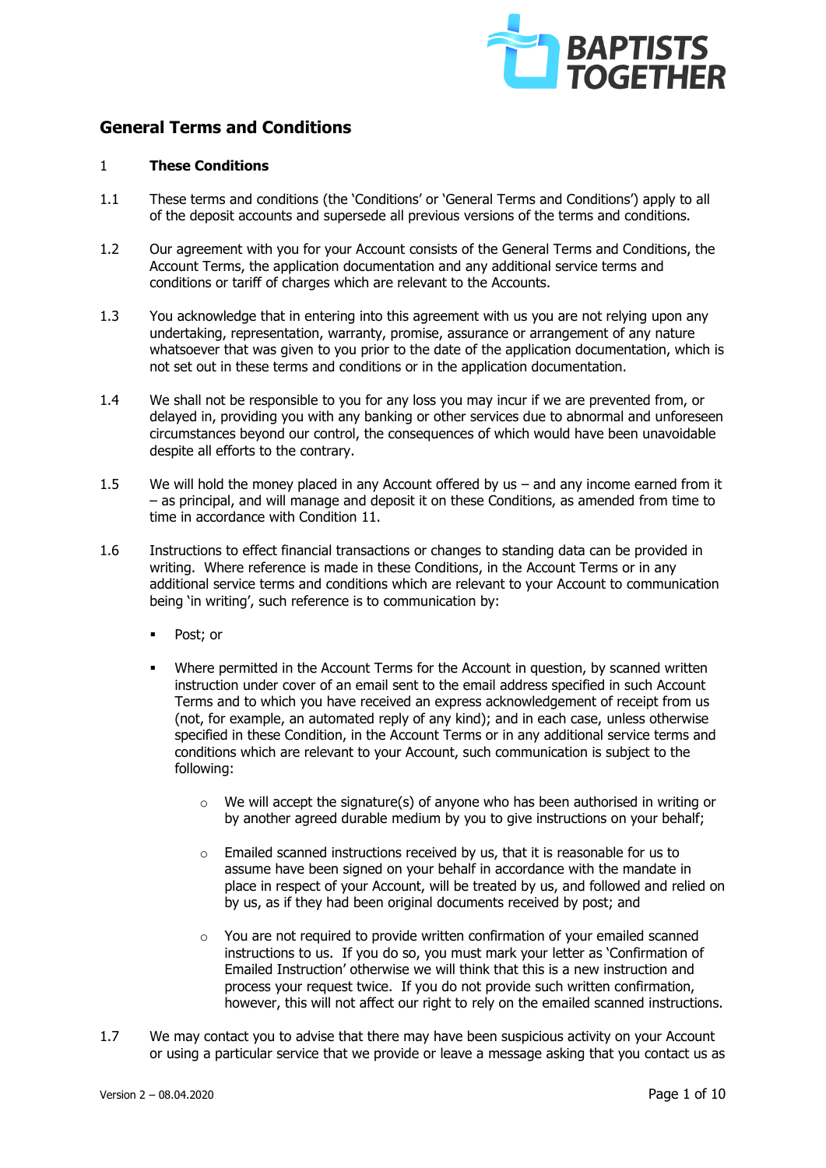

# **General Terms and Conditions**

# 1 **These Conditions**

- 1.1 These terms and conditions (the 'Conditions' or 'General Terms and Conditions') apply to all of the deposit accounts and supersede all previous versions of the terms and conditions.
- 1.2 Our agreement with you for your Account consists of the General Terms and Conditions, the Account Terms, the application documentation and any additional service terms and conditions or tariff of charges which are relevant to the Accounts.
- 1.3 You acknowledge that in entering into this agreement with us you are not relying upon any undertaking, representation, warranty, promise, assurance or arrangement of any nature whatsoever that was given to you prior to the date of the application documentation, which is not set out in these terms and conditions or in the application documentation.
- 1.4 We shall not be responsible to you for any loss you may incur if we are prevented from, or delayed in, providing you with any banking or other services due to abnormal and unforeseen circumstances beyond our control, the consequences of which would have been unavoidable despite all efforts to the contrary.
- 1.5 We will hold the money placed in any Account offered by us and any income earned from it – as principal, and will manage and deposit it on these Conditions, as amended from time to time in accordance with Condition 11.
- 1.6 Instructions to effect financial transactions or changes to standing data can be provided in writing. Where reference is made in these Conditions, in the Account Terms or in any additional service terms and conditions which are relevant to your Account to communication being 'in writing', such reference is to communication by:
	- Post: or
	- Where permitted in the Account Terms for the Account in question, by scanned written instruction under cover of an email sent to the email address specified in such Account Terms and to which you have received an express acknowledgement of receipt from us (not, for example, an automated reply of any kind); and in each case, unless otherwise specified in these Condition, in the Account Terms or in any additional service terms and conditions which are relevant to your Account, such communication is subject to the following:
		- $\circ$  We will accept the signature(s) of anyone who has been authorised in writing or by another agreed durable medium by you to give instructions on your behalf;
		- o Emailed scanned instructions received by us, that it is reasonable for us to assume have been signed on your behalf in accordance with the mandate in place in respect of your Account, will be treated by us, and followed and relied on by us, as if they had been original documents received by post; and
		- o You are not required to provide written confirmation of your emailed scanned instructions to us. If you do so, you must mark your letter as 'Confirmation of Emailed Instruction' otherwise we will think that this is a new instruction and process your request twice. If you do not provide such written confirmation, however, this will not affect our right to rely on the emailed scanned instructions.
- 1.7 We may contact you to advise that there may have been suspicious activity on your Account or using a particular service that we provide or leave a message asking that you contact us as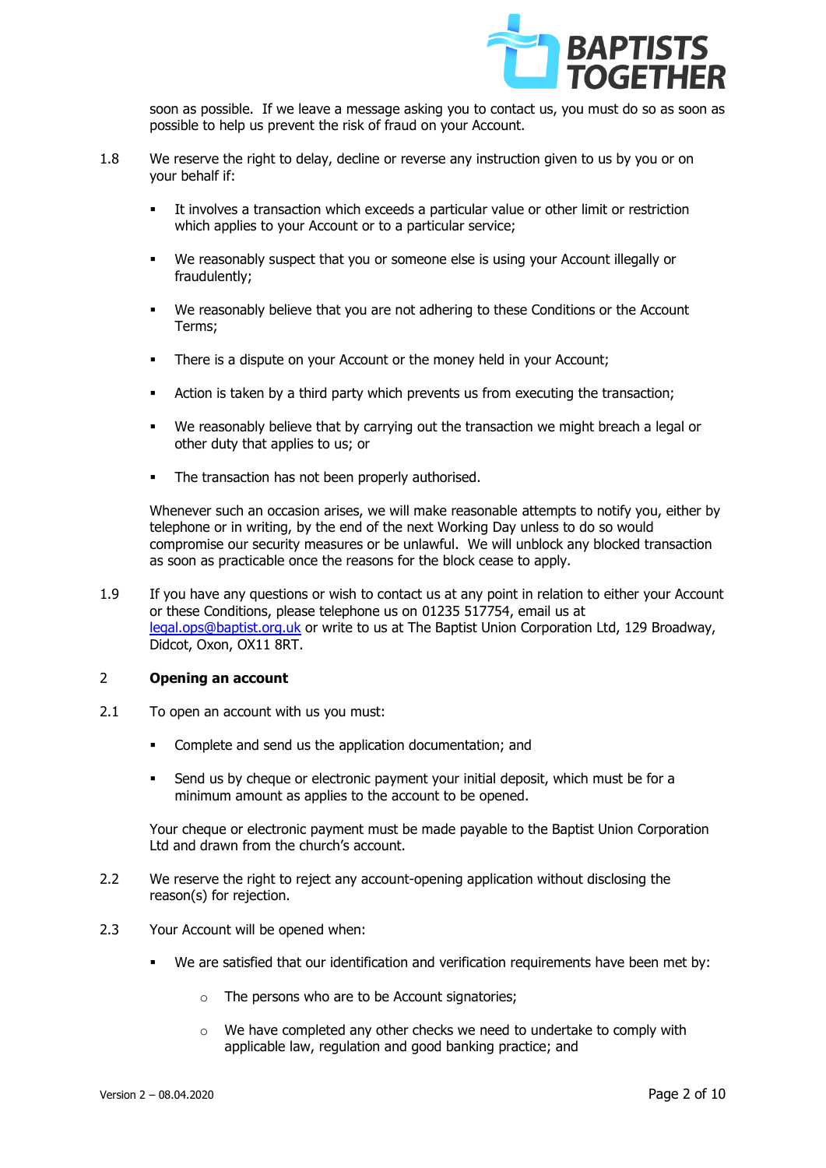

soon as possible. If we leave a message asking you to contact us, you must do so as soon as possible to help us prevent the risk of fraud on your Account.

- 1.8 We reserve the right to delay, decline or reverse any instruction given to us by you or on your behalf if:
	- It involves a transaction which exceeds a particular value or other limit or restriction which applies to your Account or to a particular service;
	- We reasonably suspect that you or someone else is using your Account illegally or fraudulently;
	- We reasonably believe that you are not adhering to these Conditions or the Account Terms;
	- **•** There is a dispute on your Account or the money held in your Account;
	- Action is taken by a third party which prevents us from executing the transaction;
	- We reasonably believe that by carrying out the transaction we might breach a legal or other duty that applies to us; or
	- The transaction has not been properly authorised.

Whenever such an occasion arises, we will make reasonable attempts to notify you, either by telephone or in writing, by the end of the next Working Day unless to do so would compromise our security measures or be unlawful. We will unblock any blocked transaction as soon as practicable once the reasons for the block cease to apply.

1.9 If you have any questions or wish to contact us at any point in relation to either your Account or these Conditions, please telephone us on 01235 517754, email us at [legal.ops@baptist.org.uk](mailto:legal.ops@baptist.org.uk) or write to us at The Baptist Union Corporation Ltd, 129 Broadway, Didcot, Oxon, OX11 8RT.

# 2 **Opening an account**

- 2.1 To open an account with us you must:
	- Complete and send us the application documentation; and
	- Send us by cheque or electronic payment your initial deposit, which must be for a minimum amount as applies to the account to be opened.

Your cheque or electronic payment must be made payable to the Baptist Union Corporation Ltd and drawn from the church's account.

- 2.2 We reserve the right to reject any account-opening application without disclosing the reason(s) for rejection.
- 2.3 Your Account will be opened when:
	- We are satisfied that our identification and verification requirements have been met by:
		- o The persons who are to be Account signatories;
		- $\circ$  We have completed any other checks we need to undertake to comply with applicable law, regulation and good banking practice; and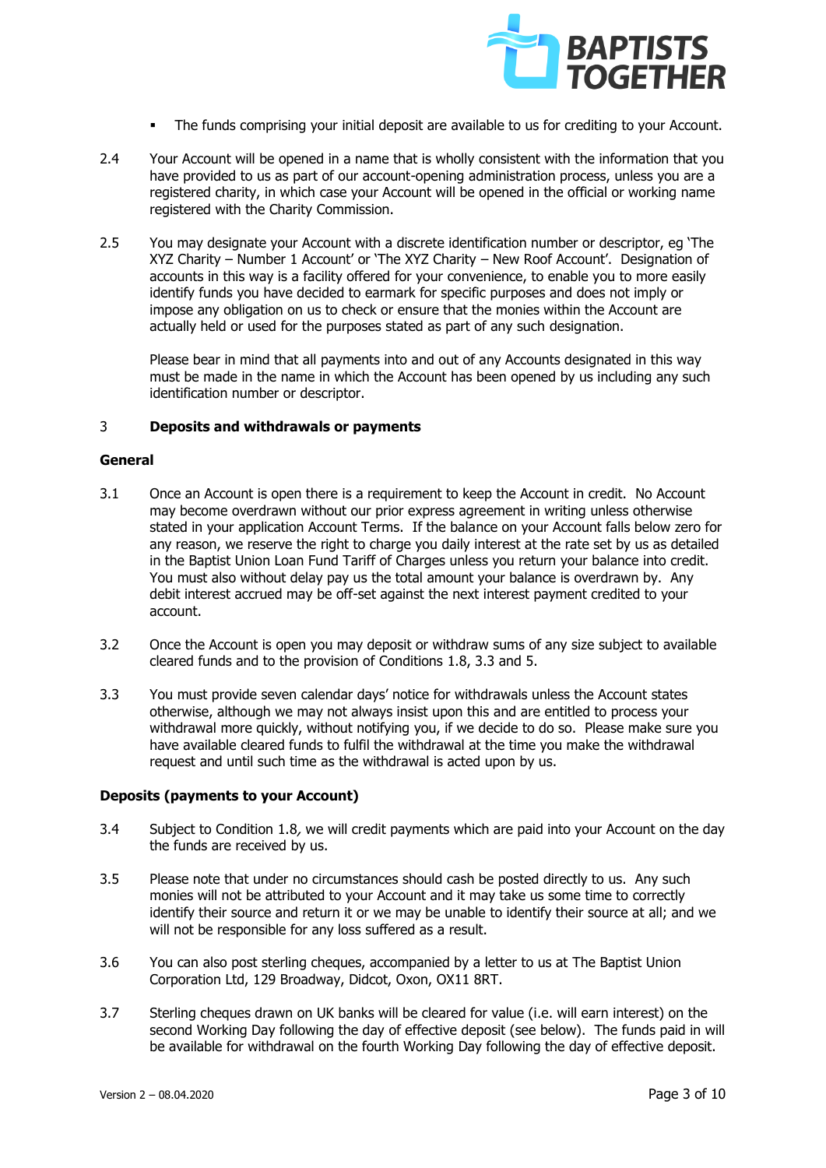

- The funds comprising your initial deposit are available to us for crediting to your Account.
- 2.4 Your Account will be opened in a name that is wholly consistent with the information that you have provided to us as part of our account-opening administration process, unless you are a registered charity, in which case your Account will be opened in the official or working name registered with the Charity Commission.
- 2.5 You may designate your Account with a discrete identification number or descriptor, eg 'The XYZ Charity – Number 1 Account' or 'The XYZ Charity – New Roof Account'. Designation of accounts in this way is a facility offered for your convenience, to enable you to more easily identify funds you have decided to earmark for specific purposes and does not imply or impose any obligation on us to check or ensure that the monies within the Account are actually held or used for the purposes stated as part of any such designation.

Please bear in mind that all payments into and out of any Accounts designated in this way must be made in the name in which the Account has been opened by us including any such identification number or descriptor.

# 3 **Deposits and withdrawals or payments**

# **General**

- 3.1 Once an Account is open there is a requirement to keep the Account in credit. No Account may become overdrawn without our prior express agreement in writing unless otherwise stated in your application Account Terms. If the balance on your Account falls below zero for any reason, we reserve the right to charge you daily interest at the rate set by us as detailed in the Baptist Union Loan Fund Tariff of Charges unless you return your balance into credit. You must also without delay pay us the total amount your balance is overdrawn by. Any debit interest accrued may be off-set against the next interest payment credited to your account.
- 3.2 Once the Account is open you may deposit or withdraw sums of any size subject to available cleared funds and to the provision of Conditions 1.8, 3.3 and 5.
- 3.3 You must provide seven calendar days' notice for withdrawals unless the Account states otherwise, although we may not always insist upon this and are entitled to process your withdrawal more quickly, without notifying you, if we decide to do so. Please make sure you have available cleared funds to fulfil the withdrawal at the time you make the withdrawal request and until such time as the withdrawal is acted upon by us.

# **Deposits (payments to your Account)**

- 3.4 Subject to Condition 1.8, we will credit payments which are paid into your Account on the day the funds are received by us.
- 3.5 Please note that under no circumstances should cash be posted directly to us. Any such monies will not be attributed to your Account and it may take us some time to correctly identify their source and return it or we may be unable to identify their source at all; and we will not be responsible for any loss suffered as a result.
- 3.6 You can also post sterling cheques, accompanied by a letter to us at The Baptist Union Corporation Ltd, 129 Broadway, Didcot, Oxon, OX11 8RT.
- 3.7 Sterling cheques drawn on UK banks will be cleared for value (i.e. will earn interest) on the second Working Day following the day of effective deposit (see below). The funds paid in will be available for withdrawal on the fourth Working Day following the day of effective deposit.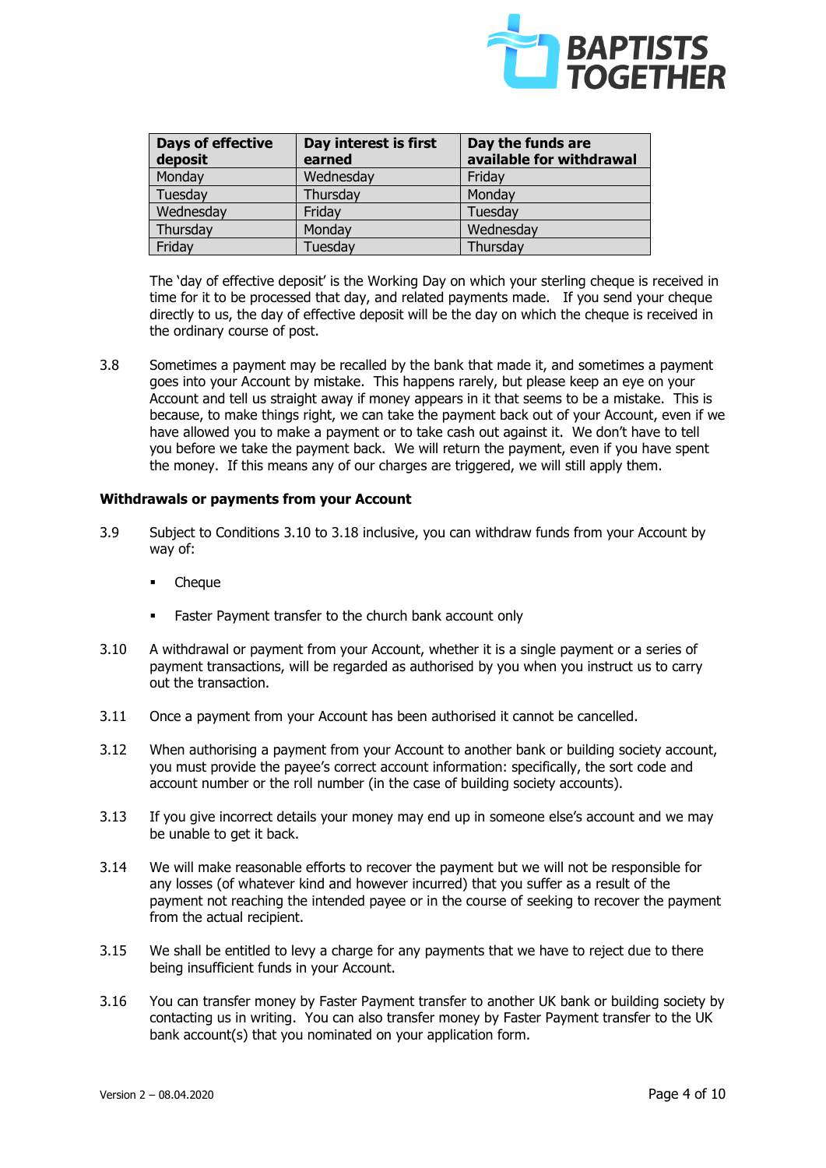

| <b>Days of effective</b><br>deposit | Day interest is first<br>earned | Day the funds are<br>available for withdrawal |
|-------------------------------------|---------------------------------|-----------------------------------------------|
| Monday                              | Wednesday                       | Friday                                        |
| Tuesday                             | Thursday                        | Monday                                        |
| Wednesday                           | Friday                          | Tuesday                                       |
| Thursday                            | Monday                          | Wednesday                                     |
| Friday                              | Tuesday                         | Thursday                                      |

The 'day of effective deposit' is the Working Day on which your sterling cheque is received in time for it to be processed that day, and related payments made. If you send your cheque directly to us, the day of effective deposit will be the day on which the cheque is received in the ordinary course of post.

3.8 Sometimes a payment may be recalled by the bank that made it, and sometimes a payment goes into your Account by mistake. This happens rarely, but please keep an eye on your Account and tell us straight away if money appears in it that seems to be a mistake. This is because, to make things right, we can take the payment back out of your Account, even if we have allowed you to make a payment or to take cash out against it. We don't have to tell you before we take the payment back. We will return the payment, even if you have spent the money. If this means any of our charges are triggered, we will still apply them.

# **Withdrawals or payments from your Account**

- 3.9 Subject to Conditions 3.10 to 3.18 inclusive, you can withdraw funds from your Account by way of:
	- **Cheque**
	- Faster Payment transfer to the church bank account only
- 3.10 A withdrawal or payment from your Account, whether it is a single payment or a series of payment transactions, will be regarded as authorised by you when you instruct us to carry out the transaction.
- 3.11 Once a payment from your Account has been authorised it cannot be cancelled.
- 3.12 When authorising a payment from your Account to another bank or building society account, you must provide the payee's correct account information: specifically, the sort code and account number or the roll number (in the case of building society accounts).
- 3.13 If you give incorrect details your money may end up in someone else's account and we may be unable to get it back.
- 3.14 We will make reasonable efforts to recover the payment but we will not be responsible for any losses (of whatever kind and however incurred) that you suffer as a result of the payment not reaching the intended payee or in the course of seeking to recover the payment from the actual recipient.
- 3.15 We shall be entitled to levy a charge for any payments that we have to reject due to there being insufficient funds in your Account.
- 3.16 You can transfer money by Faster Payment transfer to another UK bank or building society by contacting us in writing. You can also transfer money by Faster Payment transfer to the UK bank account(s) that you nominated on your application form.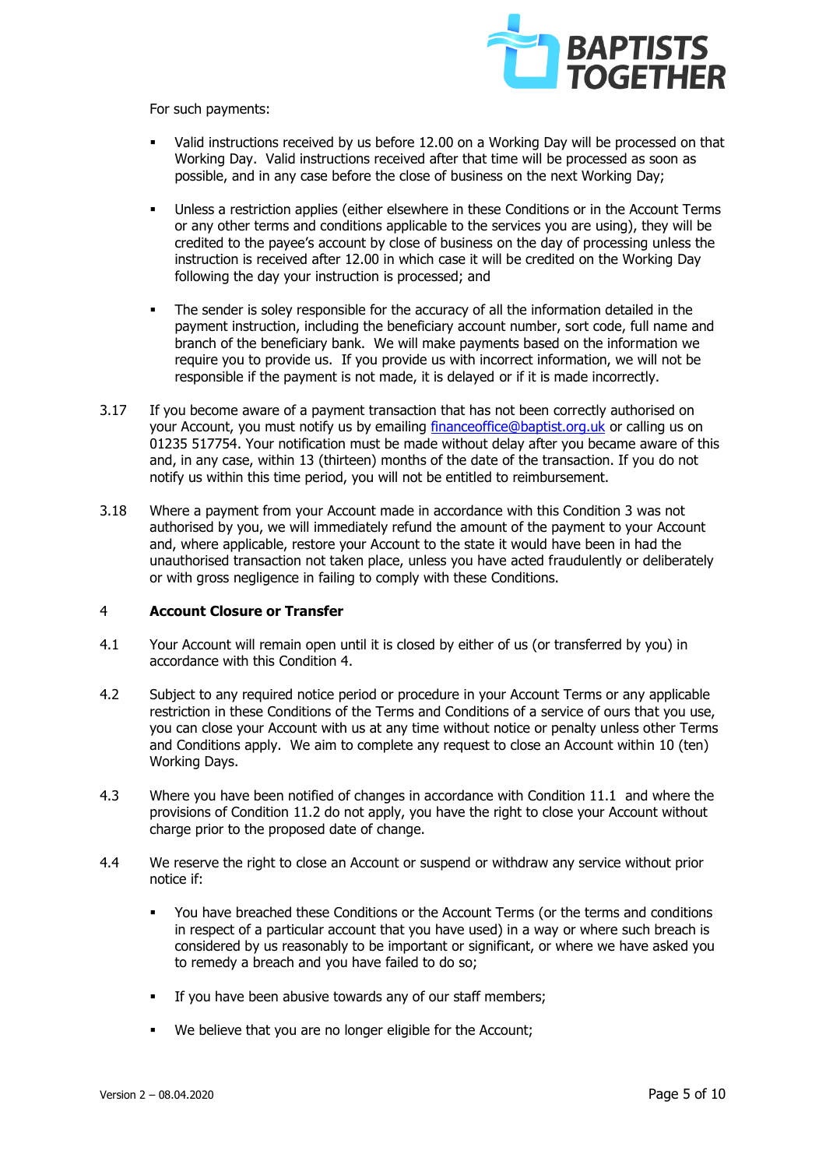

For such payments:

- Valid instructions received by us before 12.00 on a Working Day will be processed on that Working Day. Valid instructions received after that time will be processed as soon as possible, and in any case before the close of business on the next Working Day;
- Unless a restriction applies (either elsewhere in these Conditions or in the Account Terms or any other terms and conditions applicable to the services you are using), they will be credited to the payee's account by close of business on the day of processing unless the instruction is received after 12.00 in which case it will be credited on the Working Day following the day your instruction is processed; and
- The sender is soley responsible for the accuracy of all the information detailed in the payment instruction, including the beneficiary account number, sort code, full name and branch of the beneficiary bank. We will make payments based on the information we require you to provide us. If you provide us with incorrect information, we will not be responsible if the payment is not made, it is delayed or if it is made incorrectly.
- 3.17 If you become aware of a payment transaction that has not been correctly authorised on your Account, you must notify us by emailing [financeoffice@baptist.org.uk](mailto:financeoffice@baptist.org.uk) or calling us on 01235 517754. Your notification must be made without delay after you became aware of this and, in any case, within 13 (thirteen) months of the date of the transaction. If you do not notify us within this time period, you will not be entitled to reimbursement.
- 3.18 Where a payment from your Account made in accordance with this Condition 3 was not authorised by you, we will immediately refund the amount of the payment to your Account and, where applicable, restore your Account to the state it would have been in had the unauthorised transaction not taken place, unless you have acted fraudulently or deliberately or with gross negligence in failing to comply with these Conditions.

#### 4 **Account Closure or Transfer**

- 4.1 Your Account will remain open until it is closed by either of us (or transferred by you) in accordance with this Condition 4.
- 4.2 Subject to any required notice period or procedure in your Account Terms or any applicable restriction in these Conditions of the Terms and Conditions of a service of ours that you use, you can close your Account with us at any time without notice or penalty unless other Terms and Conditions apply. We aim to complete any request to close an Account within 10 (ten) Working Days.
- 4.3 Where you have been notified of changes in accordance with Condition 11.1 and where the provisions of Condition 11.2 do not apply, you have the right to close your Account without charge prior to the proposed date of change.
- 4.4 We reserve the right to close an Account or suspend or withdraw any service without prior notice if:
	- You have breached these Conditions or the Account Terms (or the terms and conditions in respect of a particular account that you have used) in a way or where such breach is considered by us reasonably to be important or significant, or where we have asked you to remedy a breach and you have failed to do so;
	- If you have been abusive towards any of our staff members;
	- We believe that you are no longer eligible for the Account;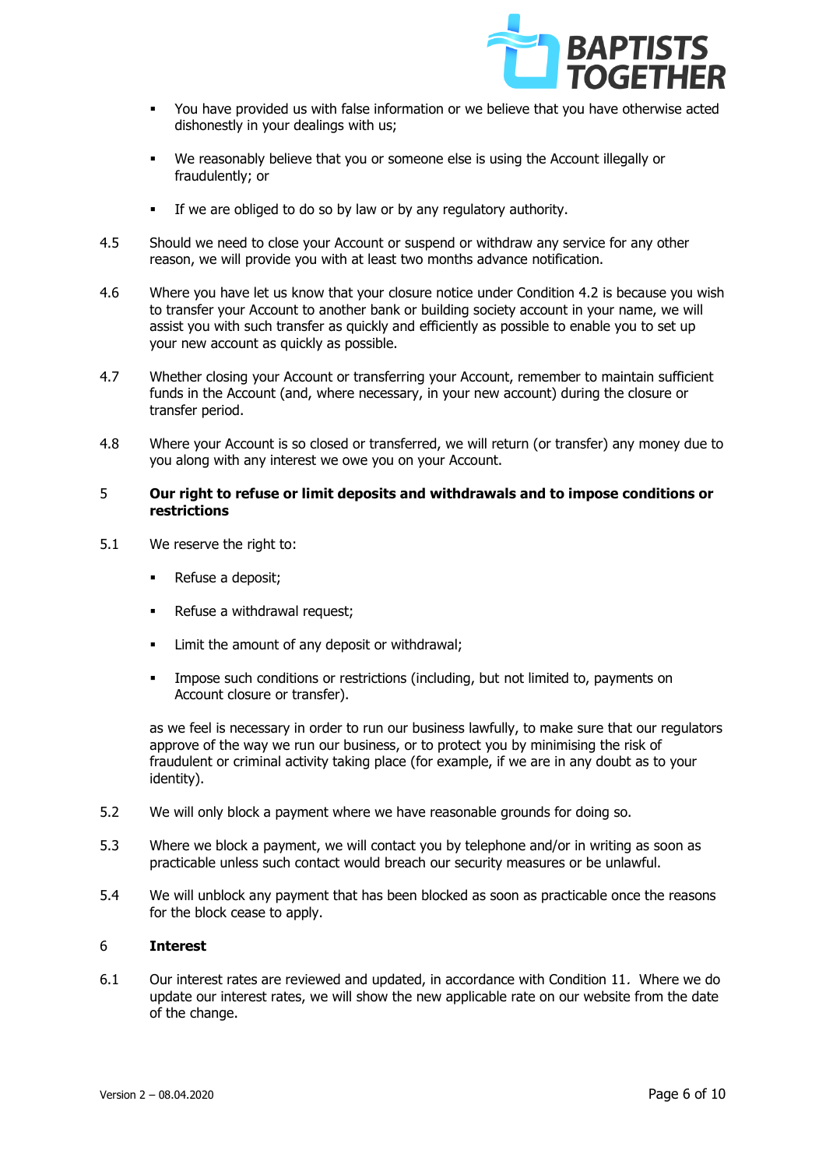

- You have provided us with false information or we believe that you have otherwise acted dishonestly in your dealings with us;
- We reasonably believe that you or someone else is using the Account illegally or fraudulently; or
- **EXECT** If we are obliged to do so by law or by any regulatory authority.
- 4.5 Should we need to close your Account or suspend or withdraw any service for any other reason, we will provide you with at least two months advance notification.
- 4.6 Where you have let us know that your closure notice under Condition 4.2 is because you wish to transfer your Account to another bank or building society account in your name, we will assist you with such transfer as quickly and efficiently as possible to enable you to set up your new account as quickly as possible.
- 4.7 Whether closing your Account or transferring your Account, remember to maintain sufficient funds in the Account (and, where necessary, in your new account) during the closure or transfer period.
- 4.8 Where your Account is so closed or transferred, we will return (or transfer) any money due to you along with any interest we owe you on your Account.

# 5 **Our right to refuse or limit deposits and withdrawals and to impose conditions or restrictions**

- 5.1 We reserve the right to:
	- Refuse a deposit:
	- Refuse a withdrawal request;
	- Limit the amount of any deposit or withdrawal;
	- Impose such conditions or restrictions (including, but not limited to, payments on Account closure or transfer).

as we feel is necessary in order to run our business lawfully, to make sure that our regulators approve of the way we run our business, or to protect you by minimising the risk of fraudulent or criminal activity taking place (for example, if we are in any doubt as to your identity).

- 5.2 We will only block a payment where we have reasonable grounds for doing so.
- 5.3 Where we block a payment, we will contact you by telephone and/or in writing as soon as practicable unless such contact would breach our security measures or be unlawful.
- 5.4 We will unblock any payment that has been blocked as soon as practicable once the reasons for the block cease to apply.

#### 6 **Interest**

6.1 Our interest rates are reviewed and updated, in accordance with Condition 11. Where we do update our interest rates, we will show the new applicable rate on our website from the date of the change.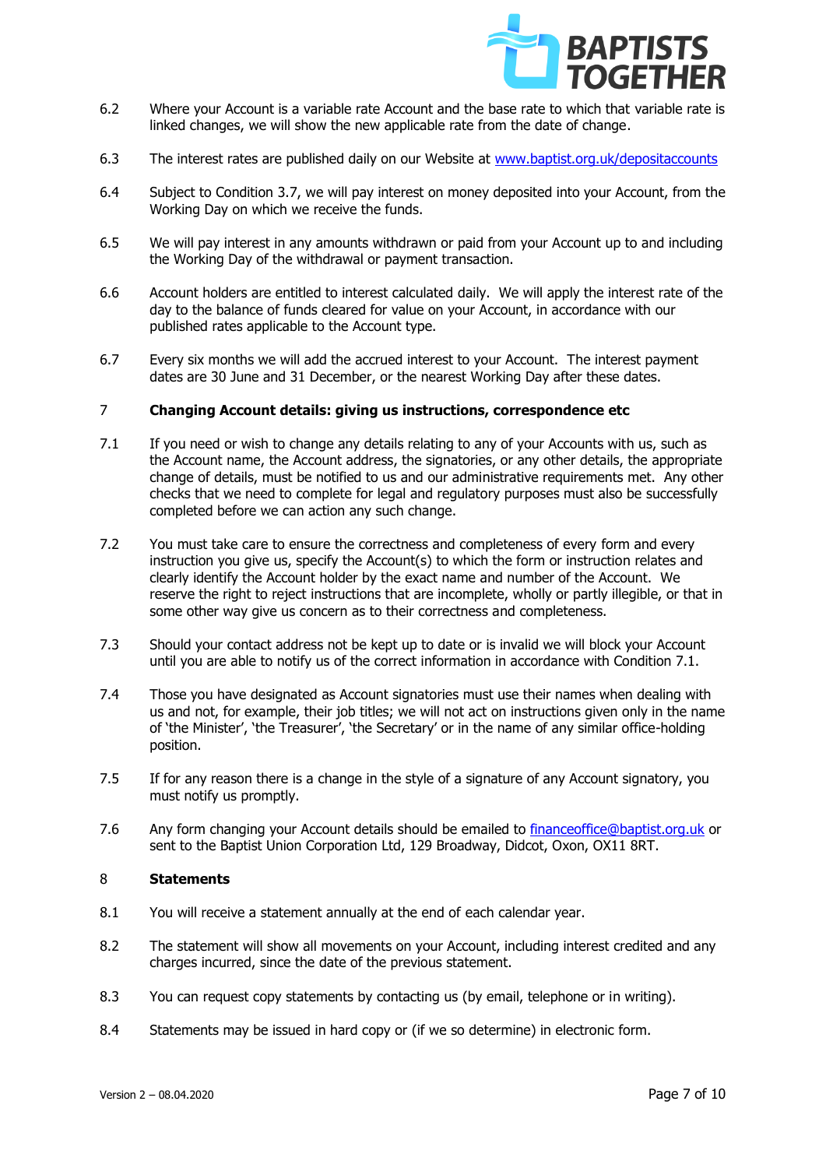

- 6.2 Where your Account is a variable rate Account and the base rate to which that variable rate is linked changes, we will show the new applicable rate from the date of change.
- 6.3 The interest rates are published daily on our Website at [www.baptist.org.uk/depositaccounts](http://www.baptist.org.uk/depositaccounts)
- 6.4 Subject to Condition 3.7, we will pay interest on money deposited into your Account, from the Working Day on which we receive the funds.
- 6.5 We will pay interest in any amounts withdrawn or paid from your Account up to and including the Working Day of the withdrawal or payment transaction.
- 6.6 Account holders are entitled to interest calculated daily. We will apply the interest rate of the day to the balance of funds cleared for value on your Account, in accordance with our published rates applicable to the Account type.
- 6.7 Every six months we will add the accrued interest to your Account. The interest payment dates are 30 June and 31 December, or the nearest Working Day after these dates.

# 7 **Changing Account details: giving us instructions, correspondence etc**

- 7.1 If you need or wish to change any details relating to any of your Accounts with us, such as the Account name, the Account address, the signatories, or any other details, the appropriate change of details, must be notified to us and our administrative requirements met. Any other checks that we need to complete for legal and regulatory purposes must also be successfully completed before we can action any such change.
- 7.2 You must take care to ensure the correctness and completeness of every form and every instruction you give us, specify the Account(s) to which the form or instruction relates and clearly identify the Account holder by the exact name and number of the Account. We reserve the right to reject instructions that are incomplete, wholly or partly illegible, or that in some other way give us concern as to their correctness and completeness.
- 7.3 Should your contact address not be kept up to date or is invalid we will block your Account until you are able to notify us of the correct information in accordance with Condition 7.1.
- 7.4 Those you have designated as Account signatories must use their names when dealing with us and not, for example, their job titles; we will not act on instructions given only in the name of 'the Minister', 'the Treasurer', 'the Secretary' or in the name of any similar office-holding position.
- 7.5 If for any reason there is a change in the style of a signature of any Account signatory, you must notify us promptly.
- 7.6 Any form changing your Account details should be emailed to [financeoffice@baptist.org.uk](mailto:financeoffice@baptist.org.uk) or sent to the Baptist Union Corporation Ltd, 129 Broadway, Didcot, Oxon, OX11 8RT.

#### 8 **Statements**

- 8.1 You will receive a statement annually at the end of each calendar year.
- 8.2 The statement will show all movements on your Account, including interest credited and any charges incurred, since the date of the previous statement.
- 8.3 You can request copy statements by contacting us (by email, telephone or in writing).
- 8.4 Statements may be issued in hard copy or (if we so determine) in electronic form.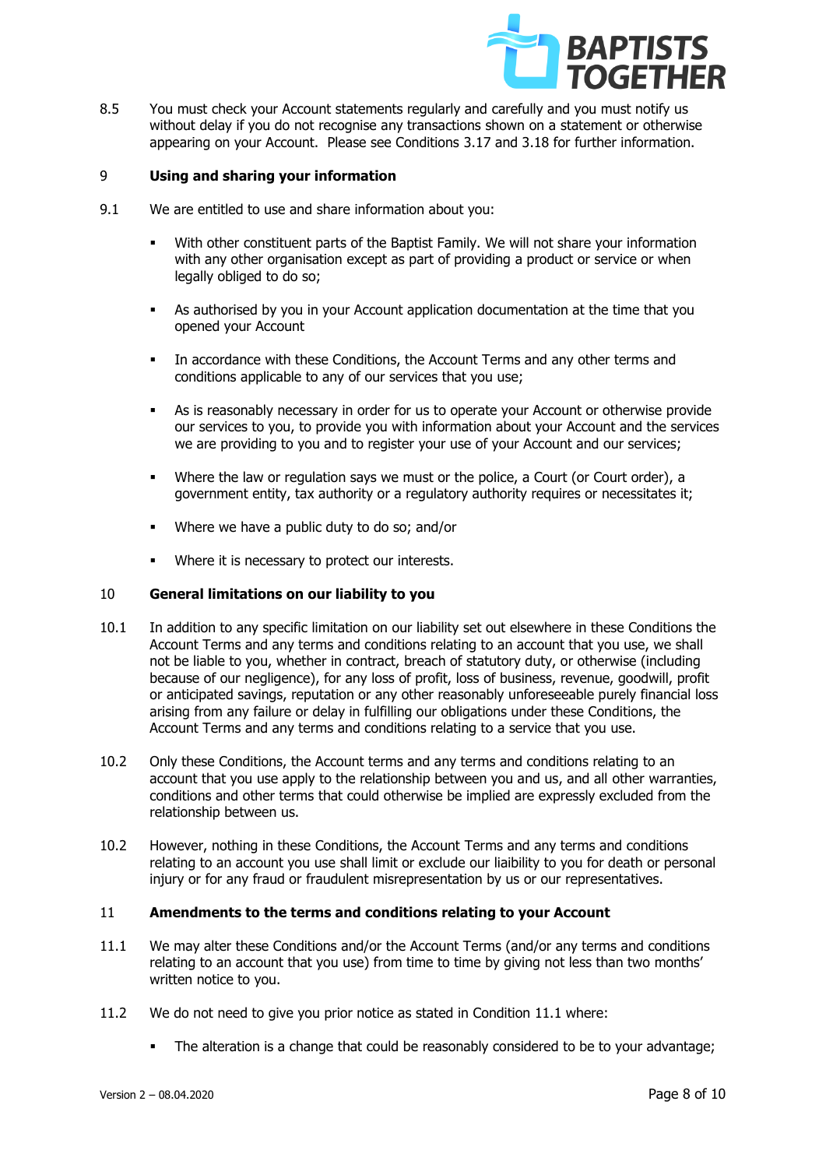

8.5 You must check your Account statements regularly and carefully and you must notify us without delay if you do not recognise any transactions shown on a statement or otherwise appearing on your Account. Please see Conditions 3.17 and 3.18 for further information.

# 9 **Using and sharing your information**

- 9.1 We are entitled to use and share information about you:
	- With other constituent parts of the Baptist Family. We will not share your information with any other organisation except as part of providing a product or service or when legally obliged to do so;
	- As authorised by you in your Account application documentation at the time that you opened your Account
	- In accordance with these Conditions, the Account Terms and any other terms and conditions applicable to any of our services that you use;
	- As is reasonably necessary in order for us to operate your Account or otherwise provide our services to you, to provide you with information about your Account and the services we are providing to you and to register your use of your Account and our services;
	- Where the law or regulation says we must or the police, a Court (or Court order), a government entity, tax authority or a regulatory authority requires or necessitates it;
	- Where we have a public duty to do so; and/or
	- Where it is necessary to protect our interests.

# 10 **General limitations on our liability to you**

- 10.1 In addition to any specific limitation on our liability set out elsewhere in these Conditions the Account Terms and any terms and conditions relating to an account that you use, we shall not be liable to you, whether in contract, breach of statutory duty, or otherwise (including because of our negligence), for any loss of profit, loss of business, revenue, goodwill, profit or anticipated savings, reputation or any other reasonably unforeseeable purely financial loss arising from any failure or delay in fulfilling our obligations under these Conditions, the Account Terms and any terms and conditions relating to a service that you use.
- 10.2 Only these Conditions, the Account terms and any terms and conditions relating to an account that you use apply to the relationship between you and us, and all other warranties, conditions and other terms that could otherwise be implied are expressly excluded from the relationship between us.
- 10.2 However, nothing in these Conditions, the Account Terms and any terms and conditions relating to an account you use shall limit or exclude our liaibility to you for death or personal injury or for any fraud or fraudulent misrepresentation by us or our representatives.

# 11 **Amendments to the terms and conditions relating to your Account**

- 11.1 We may alter these Conditions and/or the Account Terms (and/or any terms and conditions relating to an account that you use) from time to time by giving not less than two months' written notice to you.
- 11.2 We do not need to give you prior notice as stated in Condition 11.1 where:
	- The alteration is a change that could be reasonably considered to be to your advantage;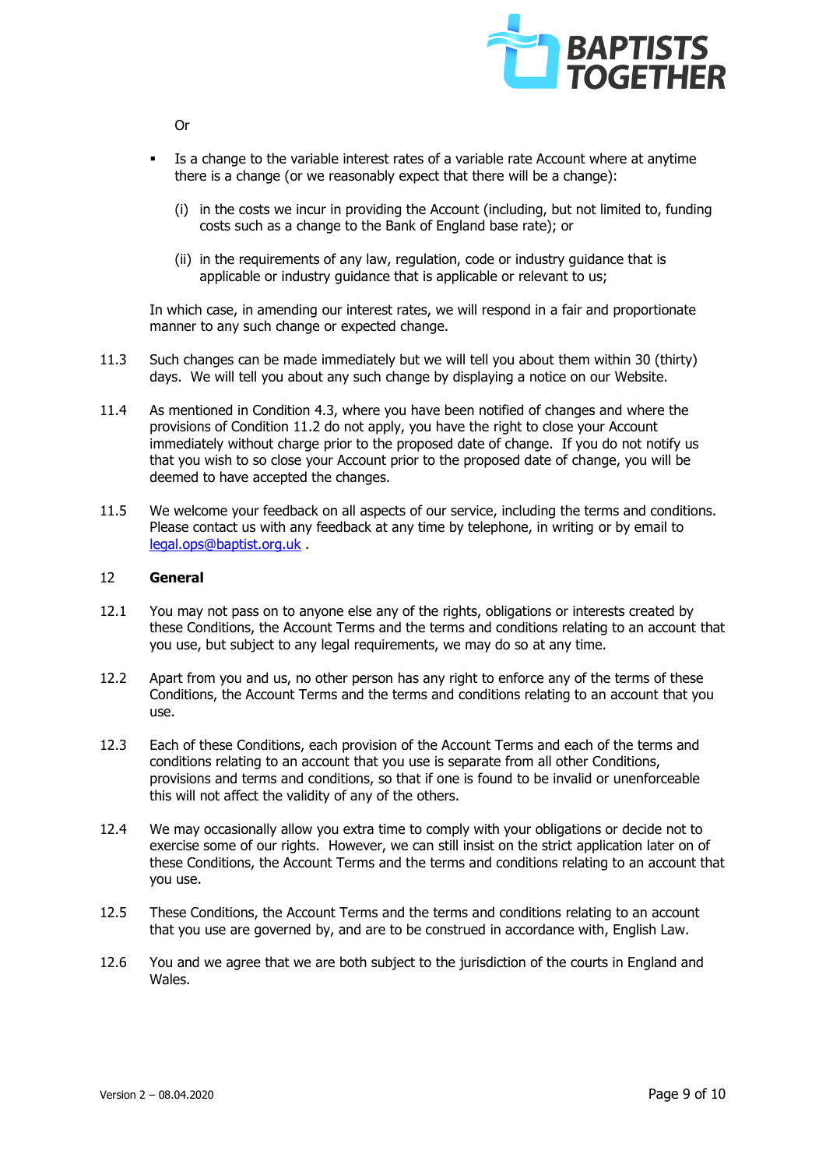

▪ Is a change to the variable interest rates of a variable rate Account where at anytime there is a change (or we reasonably expect that there will be a change):

- (i) in the costs we incur in providing the Account (including, but not limited to, funding costs such as a change to the Bank of England base rate); or
- (ii) in the requirements of any law, regulation, code or industry guidance that is applicable or industry guidance that is applicable or relevant to us;

In which case, in amending our interest rates, we will respond in a fair and proportionate manner to any such change or expected change.

- 11.3 Such changes can be made immediately but we will tell you about them within 30 (thirty) days. We will tell you about any such change by displaying a notice on our Website.
- 11.4 As mentioned in Condition 4.3, where you have been notified of changes and where the provisions of Condition 11.2 do not apply, you have the right to close your Account immediately without charge prior to the proposed date of change. If you do not notify us that you wish to so close your Account prior to the proposed date of change, you will be deemed to have accepted the changes.
- 11.5 We welcome your feedback on all aspects of our service, including the terms and conditions. Please contact us with any feedback at any time by telephone, in writing or by email to [legal.ops@baptist.org.uk](mailto:legal.ops@baptist.org.uk) .

# 12 **General**

- 12.1 You may not pass on to anyone else any of the rights, obligations or interests created by these Conditions, the Account Terms and the terms and conditions relating to an account that you use, but subject to any legal requirements, we may do so at any time.
- 12.2 Apart from you and us, no other person has any right to enforce any of the terms of these Conditions, the Account Terms and the terms and conditions relating to an account that you use.
- 12.3 Each of these Conditions, each provision of the Account Terms and each of the terms and conditions relating to an account that you use is separate from all other Conditions, provisions and terms and conditions, so that if one is found to be invalid or unenforceable this will not affect the validity of any of the others.
- 12.4 We may occasionally allow you extra time to comply with your obligations or decide not to exercise some of our rights. However, we can still insist on the strict application later on of these Conditions, the Account Terms and the terms and conditions relating to an account that you use.
- 12.5 These Conditions, the Account Terms and the terms and conditions relating to an account that you use are governed by, and are to be construed in accordance with, English Law.
- 12.6 You and we agree that we are both subject to the jurisdiction of the courts in England and Wales.

Or